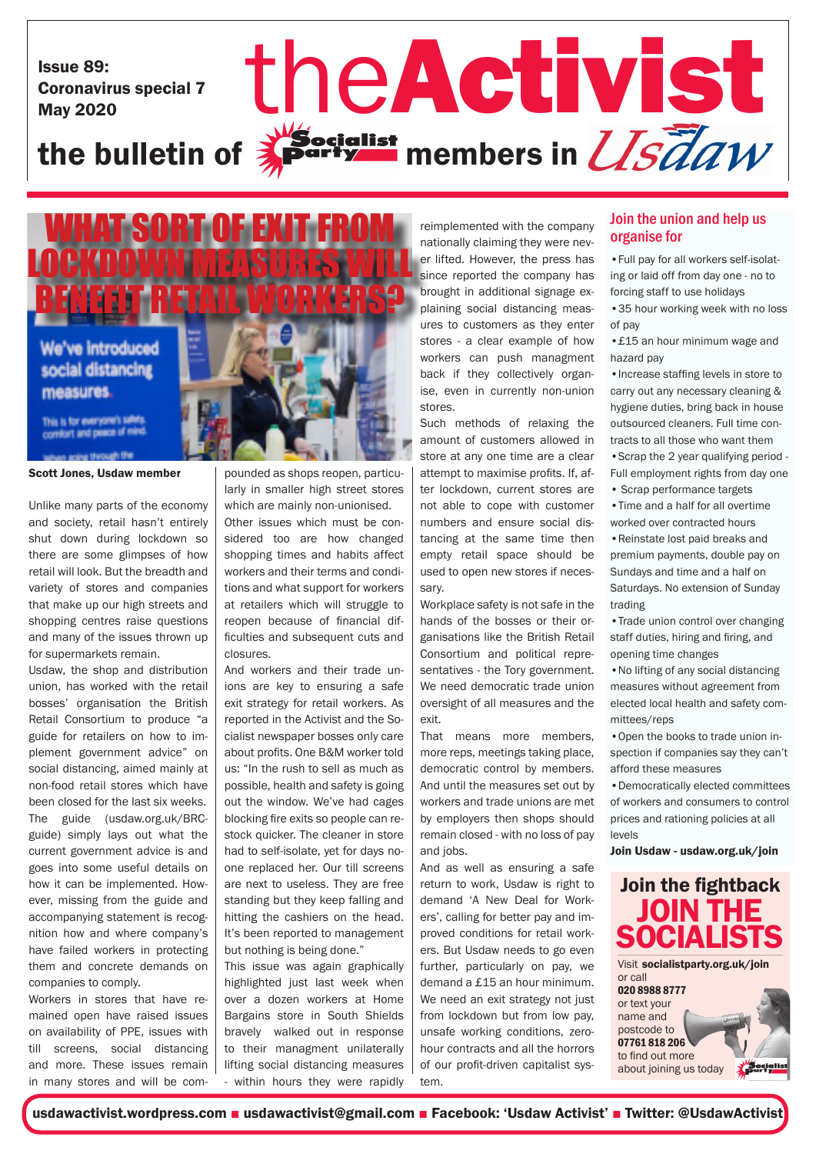Issue 89: Coronavirus special 7

# Issue 89: Coronavirus special 7 the Activist St the bulletin of  $\frac{1}{2}$  party members in  $\frac{1}{S}$   $\frac{7}{6}$  all w



Scott Jones, Usdaw member

Unlike many parts of the economy and society, retail hasn't entirely shut down during lockdown so there are some glimpses of how retail will look. But the breadth and variety of stores and companies that make up our high streets and shopping centres raise questions and many of the issues thrown up for supermarkets remain.

Usdaw, the shop and distribution union, has worked with the retail bosses' organisation the British Retail Consortium to produce "a guide for retailers on how to implement government advice" on social distancing, aimed mainly at non-food retail stores which have been closed for the last six weeks. The guide (usdaw.org.uk/BRCguide) simply lays out what the current government advice is and goes into some useful details on how it can be implemented. However, missing from the guide and accompanying statement is recognition how and where company's have failed workers in protecting them and concrete demands on companies to comply.

Workers in stores that have remained open have raised issues on availability of PPE, issues with till screens, social distancing and more. These issues remain in many stores and will be compounded as shops reopen, particularly in smaller high street stores which are mainly non-unionised.

Other issues which must be considered too are how changed shopping times and habits affect workers and their terms and conditions and what support for workers at retailers which will struggle to reopen because of financial difficulties and subsequent cuts and closures.

And workers and their trade unions are key to ensuring a safe exit strategy for retail workers. As reported in the Activist and the Socialist newspaper bosses only care about profits. One B&M worker told us: "In the rush to sell as much as possible, health and safety is going out the window. We've had cages blocking fire exits so people can restock quicker. The cleaner in store had to self-isolate, yet for days noone replaced her. Our till screens are next to useless. They are free standing but they keep falling and hitting the cashiers on the head. It's been reported to management but nothing is being done."

This issue was again graphically highlighted just last week when over a dozen workers at Home Bargains store in South Shields bravely walked out in response to their managment unilaterally lifting social distancing measures - within hours they were rapidly

reimplemented with the company nationally claiming they were never lifted. However, the press has since reported the company has brought in additional signage explaining social distancing measures to customers as they enter stores - a clear example of how workers can push managment back if they collectively organise, even in currently non-union stores.

Such methods of relaxing the amount of customers allowed in store at any one time are a clear attempt to maximise profits. If, after lockdown, current stores are not able to cope with customer numbers and ensure social distancing at the same time then empty retail space should be used to open new stores if necessary.

Workplace safety is not safe in the hands of the bosses or their organisations like the British Retail Consortium and political representatives - the Tory government. We need democratic trade union oversight of all measures and the  $ext{evit}$ 

That means more members, more reps, meetings taking place, democratic control by members. And until the measures set out by workers and trade unions are met by employers then shops should remain closed - with no loss of pay and jobs.

And as well as ensuring a safe return to work, Usdaw is right to demand 'A New Deal for Workers', calling for better pay and improved conditions for retail workers. But Usdaw needs to go even further, particularly on pay, we demand a £15 an hour minimum. We need an exit strategy not just from lockdown but from low pay, unsafe working conditions, zerohour contracts and all the horrors of our profit-driven capitalist system.

### Join the union and help us organise for

•Full pay for all workers self-isolating or laid off from day one - no to forcing staff to use holidays

•35 hour working week with no loss of pay

•£15 an hour minimum wage and hazard nav

•Increase staffing levels in store to carry out any necessary cleaning & hygiene duties, bring back in house outsourced cleaners. Full time contracts to all those who want them •Scrap the 2 year qualifying period - Full employment rights from day one

• Scrap performance targets

•Time and a half for all overtime worked over contracted hours •Reinstate lost paid breaks and premium payments, double pay on

Sundays and time and a half on Saturdays. No extension of Sunday trading

•Trade union control over changing staff duties, hiring and firing, and opening time changes

•No lifting of any social distancing measures without agreement from elected local health and safety committees/reps

•Open the books to trade union inspection if companies say they can't afford these measures

•Democratically elected committees of workers and consumers to control prices and rationing policies at all levels

Join Usdaw - usdaw.org.uk/join



Visit socialistparty.org.uk/join or call 020 8988 8777 or text your name and postcode to 07761 818 206 to find out more Socialist about joining us today